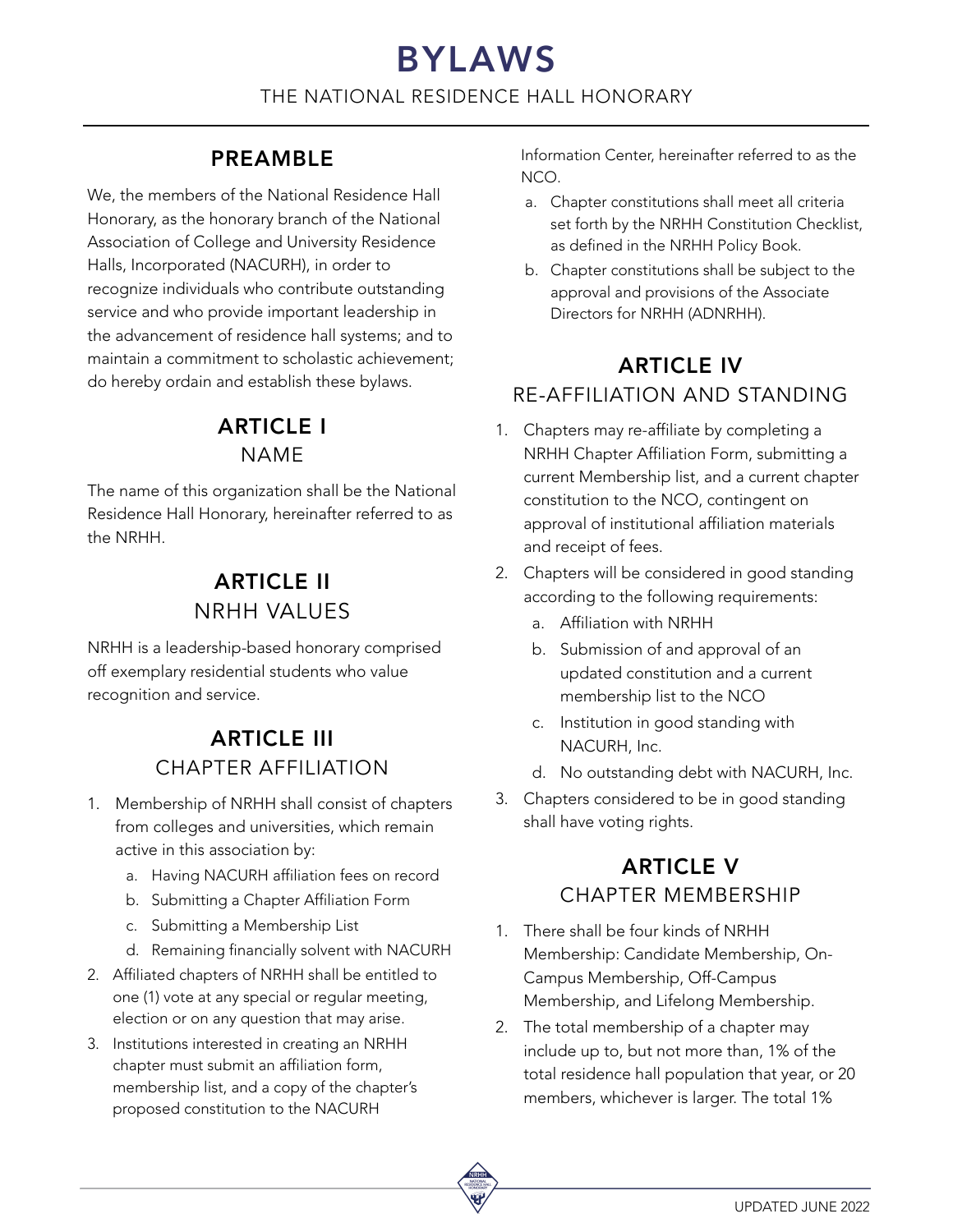# BYLAWS THE NATIONAL RESIDENCE HALL HONORARY

#### PREAMBLE

We, the members of the National Residence Hall Honorary, as the honorary branch of the National Association of College and University Residence Halls, Incorporated (NACURH), in order to recognize individuals who contribute outstanding service and who provide important leadership in the advancement of residence hall systems; and to maintain a commitment to scholastic achievement; do hereby ordain and establish these bylaws.

#### ARTICLE I NAME

The name of this organization shall be the National Residence Hall Honorary, hereinafter referred to as the NRHH.

#### ARTICLE II NRHH VALUES

NRHH is a leadership-based honorary comprised off exemplary residential students who value recognition and service.

## ARTICLE III CHAPTER AFFILIATION

- 1. Membership of NRHH shall consist of chapters from colleges and universities, which remain active in this association by:
	- a. Having NACURH affiliation fees on record
	- b. Submitting a Chapter Affiliation Form
	- c. Submitting a Membership List
	- d. Remaining financially solvent with NACURH
- 2. Affiliated chapters of NRHH shall be entitled to one (1) vote at any special or regular meeting, election or on any question that may arise.
- 3. Institutions interested in creating an NRHH chapter must submit an affiliation form, membership list, and a copy of the chapter's proposed constitution to the NACURH

Information Center, hereinafter referred to as the NCO.

- a. Chapter constitutions shall meet all criteria set forth by the NRHH Constitution Checklist, as defined in the NRHH Policy Book.
- b. Chapter constitutions shall be subject to the approval and provisions of the Associate Directors for NRHH (ADNRHH).

### ARTICLE IV RE-AFFILIATION AND STANDING

- 1. Chapters may re-affiliate by completing a NRHH Chapter Affiliation Form, submitting a current Membership list, and a current chapter constitution to the NCO, contingent on approval of institutional affiliation materials and receipt of fees.
- 2. Chapters will be considered in good standing according to the following requirements:
	- a. Affiliation with NRHH
	- b. Submission of and approval of an updated constitution and a current membership list to the NCO
	- c. Institution in good standing with NACURH, Inc.
	- d. No outstanding debt with NACURH, Inc.
- 3. Chapters considered to be in good standing shall have voting rights.

## ARTICLE V CHAPTER MEMBERSHIP

- 1. There shall be four kinds of NRHH Membership: Candidate Membership, On-Campus Membership, Off-Campus Membership, and Lifelong Membership.
- 2. The total membership of a chapter may include up to, but not more than, 1% of the total residence hall population that year, or 20 members, whichever is larger. The total 1%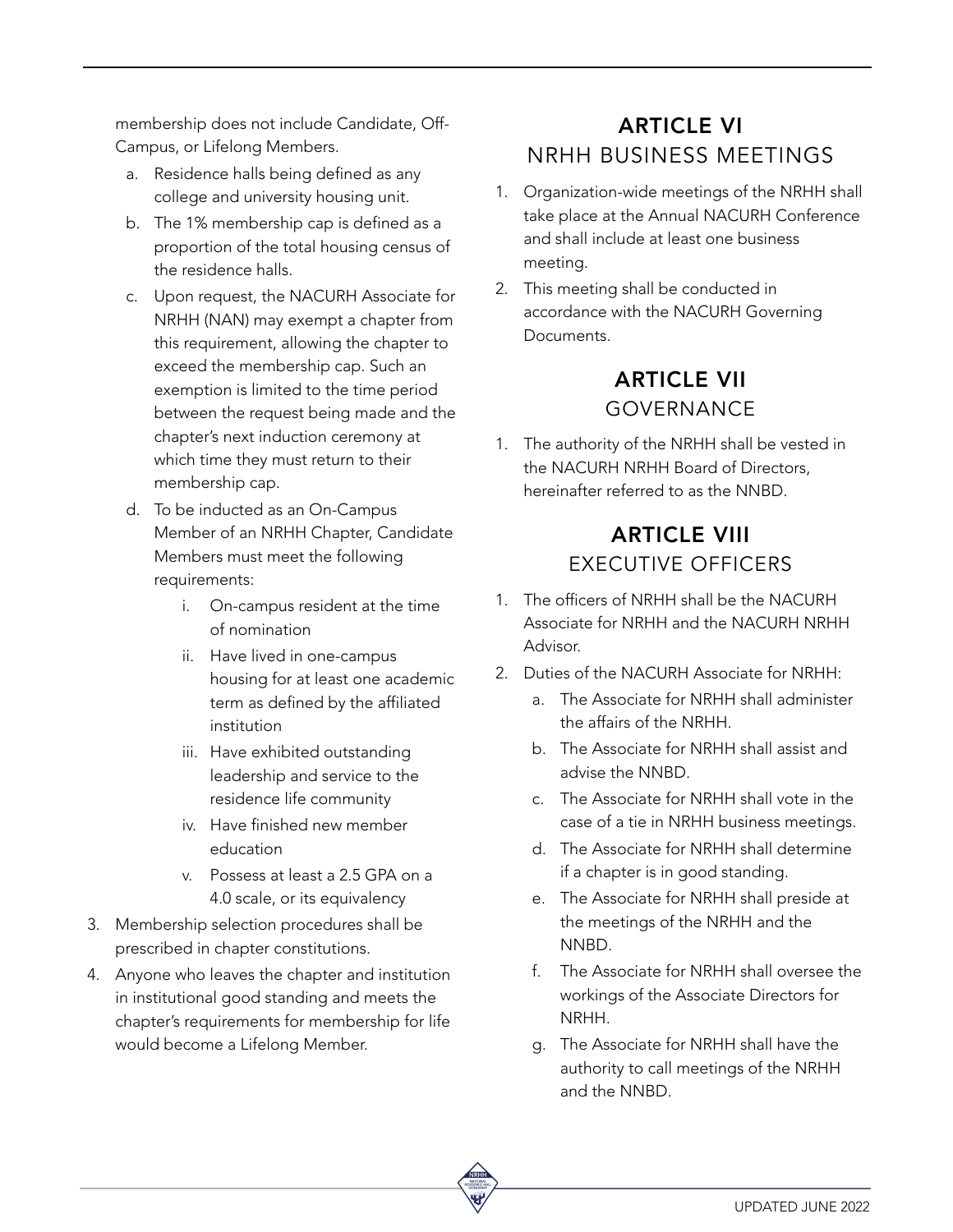membership does not include Candidate, Off-Campus, or Lifelong Members.

- a. Residence halls being defined as any college and university housing unit.
- b. The 1% membership cap is defined as a proportion of the total housing census of the residence halls.
- c. Upon request, the NACURH Associate for NRHH (NAN) may exempt a chapter from this requirement, allowing the chapter to exceed the membership cap. Such an exemption is limited to the time period between the request being made and the chapter's next induction ceremony at which time they must return to their membership cap.
- d. To be inducted as an On-Campus Member of an NRHH Chapter, Candidate Members must meet the following requirements:
	- i. On-campus resident at the time of nomination
	- ii. Have lived in one-campus housing for at least one academic term as defined by the affiliated institution
	- iii. Have exhibited outstanding leadership and service to the residence life community
	- iv. Have finished new member education
	- v. Possess at least a 2.5 GPA on a 4.0 scale, or its equivalency
- 3. Membership selection procedures shall be prescribed in chapter constitutions.
- 4. Anyone who leaves the chapter and institution in institutional good standing and meets the chapter's requirements for membership for life would become a Lifelong Member.

# ARTICLE VI NRHH BUSINESS MEETINGS

- 1. Organization-wide meetings of the NRHH shall take place at the Annual NACURH Conference and shall include at least one business meeting.
- 2. This meeting shall be conducted in accordance with the NACURH Governing Documents.

#### ARTICLE VII GOVERNANCE

1. The authority of the NRHH shall be vested in the NACURH NRHH Board of Directors, hereinafter referred to as the NNBD.

## ARTICLE VIII EXECUTIVE OFFICERS

- 1. The officers of NRHH shall be the NACURH Associate for NRHH and the NACURH NRHH Advisor.
- 2. Duties of the NACURH Associate for NRHH:
	- a. The Associate for NRHH shall administer the affairs of the NRHH.
	- b. The Associate for NRHH shall assist and advise the NNBD.
	- c. The Associate for NRHH shall vote in the case of a tie in NRHH business meetings.
	- d. The Associate for NRHH shall determine if a chapter is in good standing.
	- e. The Associate for NRHH shall preside at the meetings of the NRHH and the NNBD.
	- f. The Associate for NRHH shall oversee the workings of the Associate Directors for NRHH.
	- g. The Associate for NRHH shall have the authority to call meetings of the NRHH and the NNBD.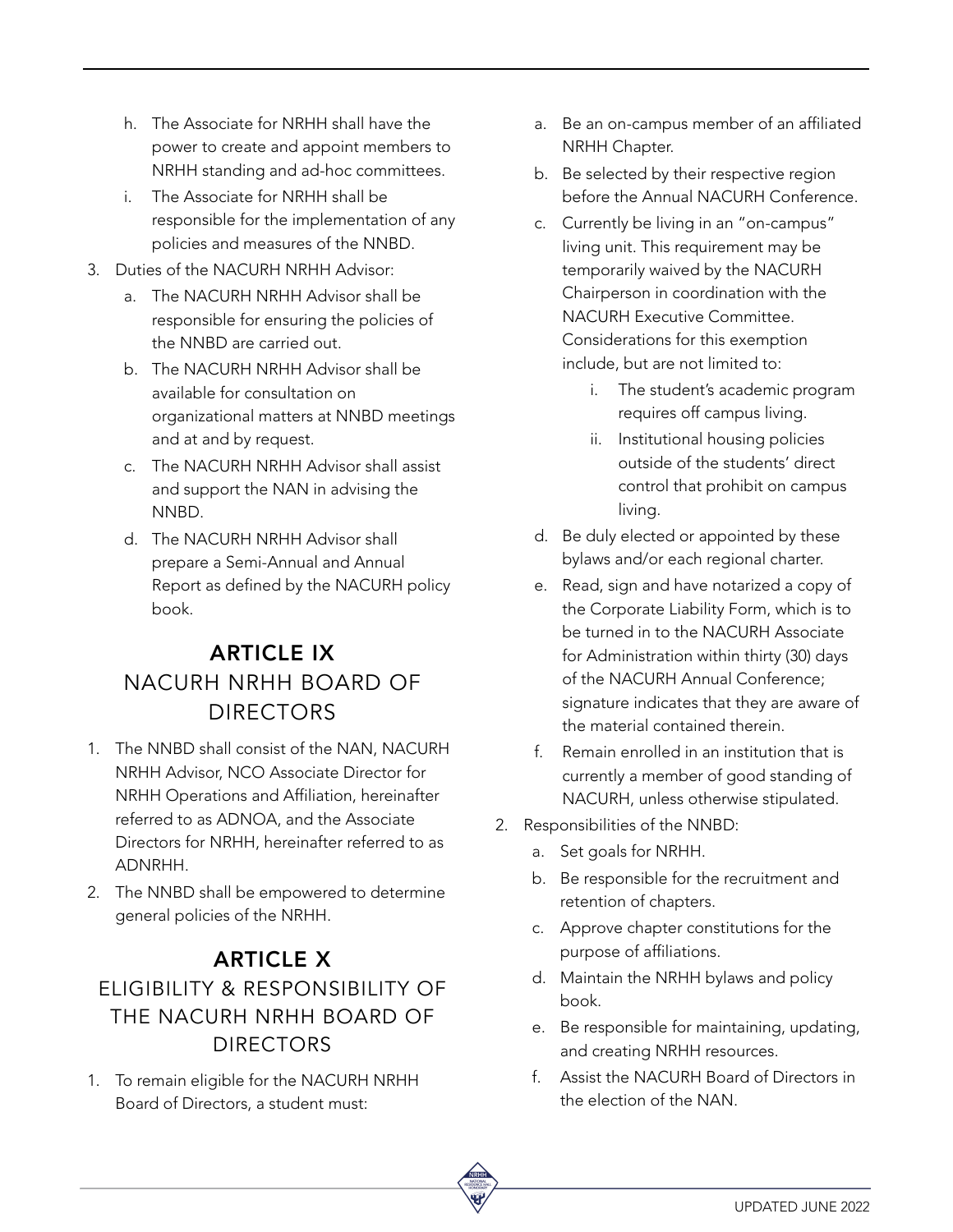- h. The Associate for NRHH shall have the power to create and appoint members to NRHH standing and ad-hoc committees.
- i. The Associate for NRHH shall be responsible for the implementation of any policies and measures of the NNBD.
- 3. Duties of the NACURH NRHH Advisor:
	- a. The NACURH NRHH Advisor shall be responsible for ensuring the policies of the NNBD are carried out.
	- b. The NACURH NRHH Advisor shall be available for consultation on organizational matters at NNBD meetings and at and by request.
	- c. The NACURH NRHH Advisor shall assist and support the NAN in advising the NNBD.
	- d. The NACURH NRHH Advisor shall prepare a Semi-Annual and Annual Report as defined by the NACURH policy book.

# ARTICLE IX NACURH NRHH BOARD OF DIRECTORS

- 1. The NNBD shall consist of the NAN, NACURH NRHH Advisor, NCO Associate Director for NRHH Operations and Affiliation, hereinafter referred to as ADNOA, and the Associate Directors for NRHH, hereinafter referred to as ADNRHH.
- 2. The NNBD shall be empowered to determine general policies of the NRHH.

# ARTICLE X ELIGIBILITY & RESPONSIBILITY OF THE NACURH NRHH BOARD OF DIRECTORS

1. To remain eligible for the NACURH NRHH Board of Directors, a student must:

- a. Be an on-campus member of an affiliated NRHH Chapter.
- b. Be selected by their respective region before the Annual NACURH Conference.
- c. Currently be living in an "on-campus" living unit. This requirement may be temporarily waived by the NACURH Chairperson in coordination with the NACURH Executive Committee. Considerations for this exemption include, but are not limited to:
	- i. The student's academic program requires off campus living.
	- ii. Institutional housing policies outside of the students' direct control that prohibit on campus living.
- d. Be duly elected or appointed by these bylaws and/or each regional charter.
- e. Read, sign and have notarized a copy of the Corporate Liability Form, which is to be turned in to the NACURH Associate for Administration within thirty (30) days of the NACURH Annual Conference; signature indicates that they are aware of the material contained therein.
- f. Remain enrolled in an institution that is currently a member of good standing of NACURH, unless otherwise stipulated.
- 2. Responsibilities of the NNBD:
	- a. Set goals for NRHH.
	- b. Be responsible for the recruitment and retention of chapters.
	- c. Approve chapter constitutions for the purpose of affiliations.
	- d. Maintain the NRHH bylaws and policy book.
	- e. Be responsible for maintaining, updating, and creating NRHH resources.
	- f. Assist the NACURH Board of Directors in the election of the NAN.